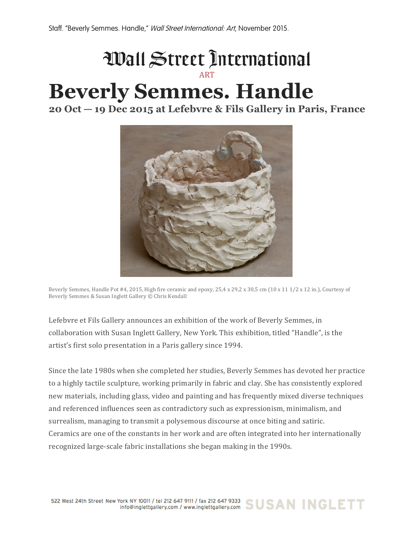## ART

## **Beverly Semmes. Handle**

**20 Oct — 19 Dec 2015 at Lefebvre & Fils Gallery in Paris, France**



Beverly Semmes, Handle Pot #4, 2015, High fire ceramic and epoxy,  $25.4 \times 29.2 \times 30.5$  cm (10 x 11  $1/2 \times 12$  in.), Courtesy of Beverly Semmes & Susan Inglett Gallery © Chris Kendall

Lefebvre et Fils Gallery announces an exhibition of the work of Beverly Semmes, in collaboration with Susan Inglett Gallery, New York. This exhibition, titled "Handle", is the artist's first solo presentation in a Paris gallery since 1994.

Since the late 1980s when she completed her studies, Beverly Semmes has devoted her practice to a highly tactile sculpture, working primarily in fabric and clay. She has consistently explored new materials, including glass, video and painting and has frequently mixed diverse techniques and referenced influences seen as contradictory such as expressionism, minimalism, and surrealism, managing to transmit a polysemous discourse at once biting and satiric. Ceramics are one of the constants in her work and are often integrated into her internationally recognized large-scale fabric installations she began making in the 1990s.